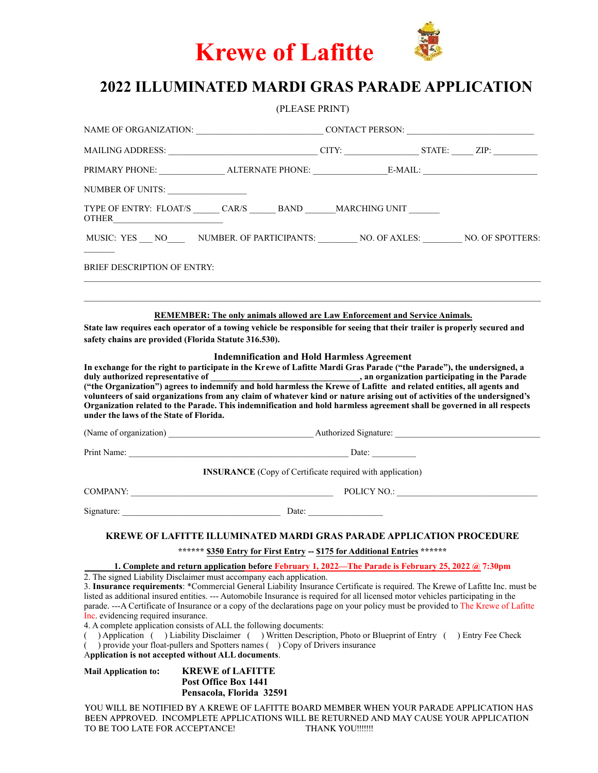

# **202**2 **ILLUMINATED MARDI GRAS PARADE APPLICATION**

|                                         |                                                                                                                                                                                                                                                                                                                                                                                                                                                                                                                                                                                                                                                                                                                                                                                                                                                                                                                    | (PLEASE PRINT) |  |  |  |
|-----------------------------------------|--------------------------------------------------------------------------------------------------------------------------------------------------------------------------------------------------------------------------------------------------------------------------------------------------------------------------------------------------------------------------------------------------------------------------------------------------------------------------------------------------------------------------------------------------------------------------------------------------------------------------------------------------------------------------------------------------------------------------------------------------------------------------------------------------------------------------------------------------------------------------------------------------------------------|----------------|--|--|--|
|                                         |                                                                                                                                                                                                                                                                                                                                                                                                                                                                                                                                                                                                                                                                                                                                                                                                                                                                                                                    |                |  |  |  |
|                                         | MAILING ADDRESS: __________________________________CITY: _________________STATE: ______ ZIP: ________                                                                                                                                                                                                                                                                                                                                                                                                                                                                                                                                                                                                                                                                                                                                                                                                              |                |  |  |  |
|                                         | PRIMARY PHONE: ____________________ALTERNATE PHONE: _____________________________                                                                                                                                                                                                                                                                                                                                                                                                                                                                                                                                                                                                                                                                                                                                                                                                                                  |                |  |  |  |
| NUMBER OF UNITS:                        |                                                                                                                                                                                                                                                                                                                                                                                                                                                                                                                                                                                                                                                                                                                                                                                                                                                                                                                    |                |  |  |  |
| OTHER __________________                | TYPE OF ENTRY: FLOAT/S _______ CAR/S _______ BAND _______ MARCHING UNIT _______                                                                                                                                                                                                                                                                                                                                                                                                                                                                                                                                                                                                                                                                                                                                                                                                                                    |                |  |  |  |
|                                         | MUSIC: YES NO NUMBER. OF PARTICIPANTS: NO. OF AXLES: NO. OF SPOTTERS:                                                                                                                                                                                                                                                                                                                                                                                                                                                                                                                                                                                                                                                                                                                                                                                                                                              |                |  |  |  |
| <b>BRIEF DESCRIPTION OF ENTRY:</b>      |                                                                                                                                                                                                                                                                                                                                                                                                                                                                                                                                                                                                                                                                                                                                                                                                                                                                                                                    |                |  |  |  |
|                                         | REMEMBER: The only animals allowed are Law Enforcement and Service Animals.<br>State law requires each operator of a towing vehicle be responsible for seeing that their trailer is properly secured and<br>safety chains are provided (Florida Statute 316.530).                                                                                                                                                                                                                                                                                                                                                                                                                                                                                                                                                                                                                                                  |                |  |  |  |
| under the laws of the State of Florida. | <b>Indemnification and Hold Harmless Agreement</b><br>In exchange for the right to participate in the Krewe of Lafitte Mardi Gras Parade ("the Parade"), the undersigned, a<br>("the Organization") agrees to indemnify and hold harmless the Krewe of Lafitte and related entities, all agents and<br>volunteers of said organizations from any claim of whatever kind or nature arising out of activities of the undersigned's<br>Organization related to the Parade. This indemnification and hold harmless agreement shall be governed in all respects                                                                                                                                                                                                                                                                                                                                                         |                |  |  |  |
|                                         |                                                                                                                                                                                                                                                                                                                                                                                                                                                                                                                                                                                                                                                                                                                                                                                                                                                                                                                    |                |  |  |  |
|                                         |                                                                                                                                                                                                                                                                                                                                                                                                                                                                                                                                                                                                                                                                                                                                                                                                                                                                                                                    |                |  |  |  |
|                                         | <b>INSURANCE</b> (Copy of Certificate required with application)                                                                                                                                                                                                                                                                                                                                                                                                                                                                                                                                                                                                                                                                                                                                                                                                                                                   |                |  |  |  |
|                                         |                                                                                                                                                                                                                                                                                                                                                                                                                                                                                                                                                                                                                                                                                                                                                                                                                                                                                                                    |                |  |  |  |
|                                         | Signature: Date: Date:                                                                                                                                                                                                                                                                                                                                                                                                                                                                                                                                                                                                                                                                                                                                                                                                                                                                                             |                |  |  |  |
|                                         | <b>KREWE OF LAFITTE ILLUMINATED MARDI GRAS PARADE APPLICATION PROCEDURE</b>                                                                                                                                                                                                                                                                                                                                                                                                                                                                                                                                                                                                                                                                                                                                                                                                                                        |                |  |  |  |
|                                         | ****** \$350 Entry for First Entry -- \$175 for Additional Entries ******                                                                                                                                                                                                                                                                                                                                                                                                                                                                                                                                                                                                                                                                                                                                                                                                                                          |                |  |  |  |
| Inc. evidencing required insurance.     | 1. Complete and return application before February 1, 2022—The Parade is February 25, 2022 @ 7:30pm<br>2. The signed Liability Disclaimer must accompany each application.<br>3. Insurance requirements: *Commercial General Liability Insurance Certificate is required. The Krewe of Lafitte Inc. must be<br>listed as additional insured entities. --- Automobile Insurance is required for all licensed motor vehicles participating in the<br>parade. ---A Certificate of Insurance or a copy of the declarations page on your policy must be provided to The Krewe of Lafitte<br>4. A complete application consists of ALL the following documents:<br>( ) Application ( ) Liability Disclaimer ( ) Written Description, Photo or Blueprint of Entry ( ) Entry Fee Check<br>provide your float-pullers and Spotters names () Copy of Drivers insurance<br>Application is not accepted without ALL documents. |                |  |  |  |
| <b>Mail Application to:</b>             | <b>KREWE of LAFITTE</b><br>Post Office Box 1441<br>Pensacola, Florida 32591                                                                                                                                                                                                                                                                                                                                                                                                                                                                                                                                                                                                                                                                                                                                                                                                                                        |                |  |  |  |
|                                         | YOU WILL BE NOTIFIED BY A KREWE OF LAFITTE BOARD MEMBER WHEN YOUR PARADE APPLICATION HAS<br>BEEN APPROVED. INCOMPLETE APPLICATIONS WILL BE RETURNED AND MAY CAUSE YOUR APPLICATION                                                                                                                                                                                                                                                                                                                                                                                                                                                                                                                                                                                                                                                                                                                                 |                |  |  |  |

TO BE TOO LATE FOR ACCEPTANCE! THANK YOU!!!!!!!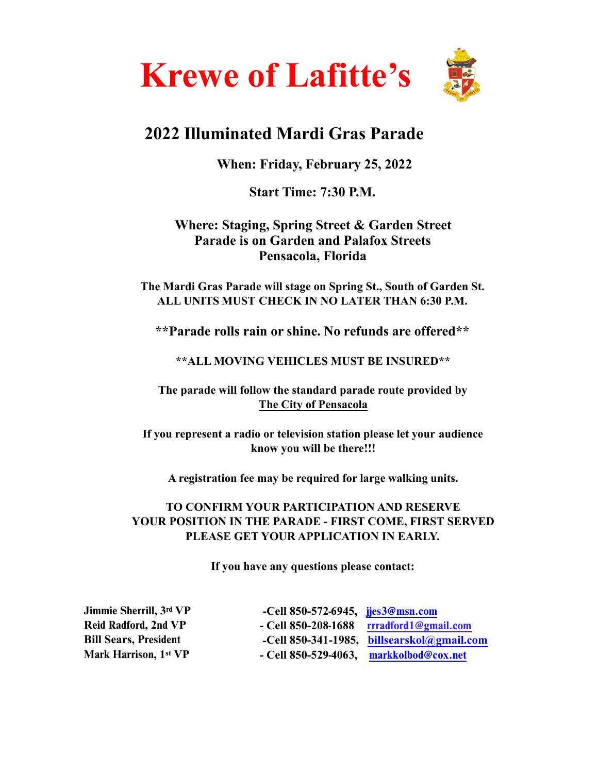

# **202**2 **Illuminated Mardi Gras Parade**

**When: Friday, February 2**5**, 202**2

**Start Time: 7:30 P.M.** 

# **Where: Staging, Spring Street & Garden Street Parade is on Garden and Palafox Streets Pensacola, Florida**

**The Mardi Gras Parade will stage on Spring St., South of Garden St. ALL UNITS MUST CHECK IN NO LATER THAN 6:30 P.M.** 

**\*\*Parade rolls rain or shine. No refunds are offered\*\*** 

## **\*\*ALL MOVING VEHICLES MUST BE INSURED\*\***

**The parade will follow the standard parade route provided by The City of Pensacola** 

**If you represent a radio or television station please let your audience know you will be there!!!** 

**A registration fee may be required for large walking units.** 

## **TO CONFIRM YOUR PARTICIPATION AND RESERVE YOUR POSITION IN THE PARADE - FIRST COME, FIRST SERVED PLEASE GET YOUR APPLICATION IN EARLY.**

**If you have any questions please contact:** 

**R**eid Radford**,** 2nd **VP Bill Sears,** President Mark Harrison**, 1st VP** 

Jimmie Sherrill**, 3**rd **VP -Cell 850-**572-6945**,** jjes3@msn.com **- Cell 850-**208-1688 rrradford1@gmail.com **-Cell 850-341-1985, billsearskol@gmail.com - Cell 850-**529-4063**,** [markkolbod@cox.net](mailto:bmorris82@cox.net)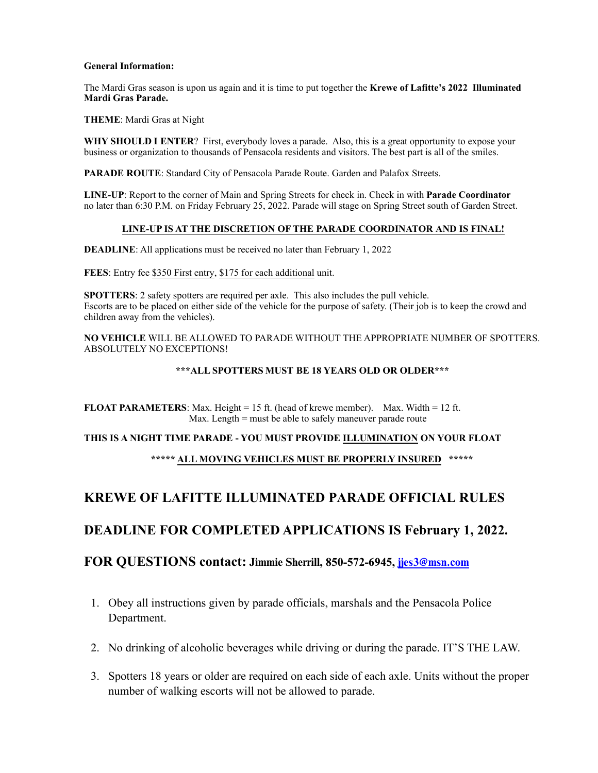#### **General Information:**

The Mardi Gras season is upon us again and it is time to put together the **Krewe of Lafitte's 202**2 **Illuminated Mardi Gras Parade.**

**THEME**: Mardi Gras at Night

**WHY SHOULD I ENTER**? First, everybody loves a parade. Also, this is a great opportunity to expose your business or organization to thousands of Pensacola residents and visitors. The best part is all of the smiles.

**PARADE ROUTE**: Standard City of Pensacola Parade Route. Garden and Palafox Streets.

**LINE-UP**: Report to the corner of Main and Spring Streets for check in. Check in with **Parade Coordinator** no later than 6:30 P.M. on Friday February 25, 2022. Parade will stage on Spring Street south of Garden Street.

#### **LINE-UP IS AT THE DISCRETION OF THE PARADE COORDINATOR AND IS FINAL!**

**DEADLINE:** All applications must be received no later than February 1, 2022

**FEES**: Entry fee \$350 First entry, \$175 for each additional unit.

**SPOTTERS**: 2 safety spotters are required per axle. This also includes the pull vehicle. Escorts are to be placed on either side of the vehicle for the purpose of safety. (Their job is to keep the crowd and children away from the vehicles).

**NO VEHICLE** WILL BE ALLOWED TO PARADE WITHOUT THE APPROPRIATE NUMBER OF SPOTTERS. ABSOLUTELY NO EXCEPTIONS!

#### **\*\*\*ALL SPOTTERS MUST BE 18 YEARS OLD OR OLDER\*\*\***

**FLOAT PARAMETERS**: Max. Height = 15 ft. (head of krewe member). Max. Width = 12 ft. Max. Length = must be able to safely maneuver parade route

#### **THIS IS A NIGHT TIME PARADE - YOU MUST PROVIDE ILLUMINATION ON YOUR FLOAT**

**\*\*\*\*\* ALL MOVING VEHICLES MUST BE PROPERLY INSURED \*\*\*\*\*** 

### **KREWE OF LAFITTE ILLUMINATED PARADE OFFICIAL RULES**

### **DEADLINE FOR COMPLETED APPLICATIONS IS February 1, 202**2**.**

### **FOR QUESTIONS contact:** Jimmie Sherrill**, 850-5**72**-**6945**,** jjes3@msn.com

- 1. Obey all instructions given by parade officials, marshals and the Pensacola Police Department.
- 2. No drinking of alcoholic beverages while driving or during the parade. IT'S THE LAW.
- 3. Spotters 18 years or older are required on each side of each axle. Units without the proper number of walking escorts will not be allowed to parade.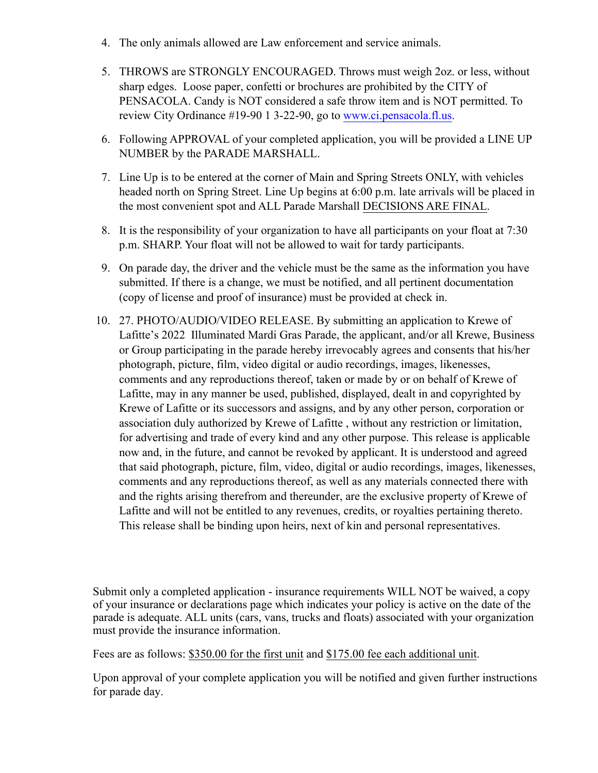- 4. The only animals allowed are Law enforcement and service animals.
- 5. THROWS are STRONGLY ENCOURAGED. Throws must weigh 2oz. or less, without sharp edges. Loose paper, confetti or brochures are prohibited by the CITY of PENSACOLA. Candy is NOT considered a safe throw item and is NOT permitted. To review City Ordinance #19-90 1 3-22-90, go to [www.ci.pensacola.fl.us.](http://www.ci.pensacola.fl.us)
- 6. Following APPROVAL of your completed application, you will be provided a LINE UP NUMBER by the PARADE MARSHALL.
- 7. Line Up is to be entered at the corner of Main and Spring Streets ONLY, with vehicles headed north on Spring Street. Line Up begins at 6:00 p.m. late arrivals will be placed in the most convenient spot and ALL Parade Marshall DECISIONS ARE FINAL.
- 8. It is the responsibility of your organization to have all participants on your float at 7:30 p.m. SHARP. Your float will not be allowed to wait for tardy participants.
- 9. On parade day, the driver and the vehicle must be the same as the information you have submitted. If there is a change, we must be notified, and all pertinent documentation (copy of license and proof of insurance) must be provided at check in.
- 10. 27. PHOTO/AUDIO/VIDEO RELEASE. By submitting an application to Krewe of Lafitte's 2022 Illuminated Mardi Gras Parade, the applicant, and/or all Krewe, Business or Group participating in the parade hereby irrevocably agrees and consents that his/her photograph, picture, film, video digital or audio recordings, images, likenesses, comments and any reproductions thereof, taken or made by or on behalf of Krewe of Lafitte, may in any manner be used, published, displayed, dealt in and copyrighted by Krewe of Lafitte or its successors and assigns, and by any other person, corporation or association duly authorized by Krewe of Lafitte , without any restriction or limitation, for advertising and trade of every kind and any other purpose. This release is applicable now and, in the future, and cannot be revoked by applicant. It is understood and agreed that said photograph, picture, film, video, digital or audio recordings, images, likenesses, comments and any reproductions thereof, as well as any materials connected there with and the rights arising therefrom and thereunder, are the exclusive property of Krewe of Lafitte and will not be entitled to any revenues, credits, or royalties pertaining thereto. This release shall be binding upon heirs, next of kin and personal representatives.

Submit only a completed application - insurance requirements WILL NOT be waived, a copy of your insurance or declarations page which indicates your policy is active on the date of the parade is adequate. ALL units (cars, vans, trucks and floats) associated with your organization must provide the insurance information.

Fees are as follows: \$350.00 for the first unit and \$175.00 fee each additional unit.

Upon approval of your complete application you will be notified and given further instructions for parade day.